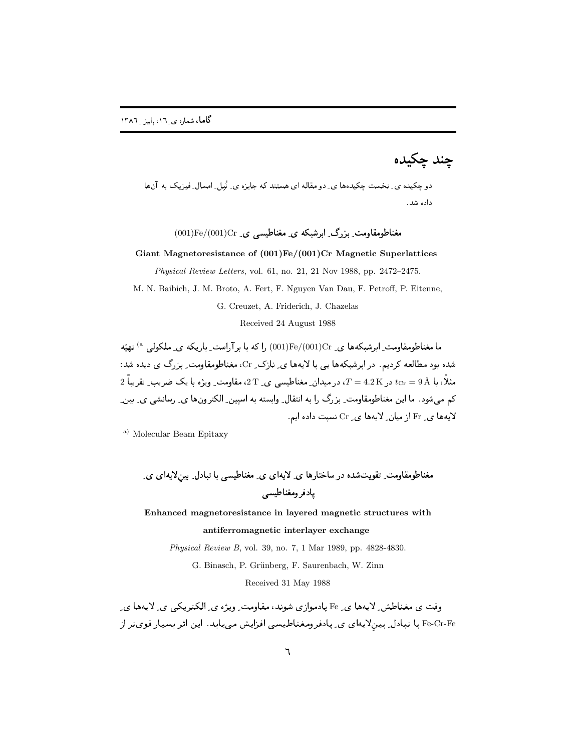چند چکیده

-  
 !
" داده شد.

 $(001)\mathrm{Fe}/(001)\mathrm{Cr}$  مغناطومقاومت بزرگ ابرشبکه ی مغناطیسی ی ـ pe/(001) Fe/(001)

**Giant Magnetoresistance of (001)Fe/(001)Cr Magnetic Superlattices**

*Physical Review Letters*, vol. 61, no. 21, 21 Nov 1988, pp. 2472–2475.

M. N. Baibich, J. M. Broto, A. Fert, F. Nguyen Van Dau, F. Petroff, P. Eitenne,

G. Creuzet, A. Friderich, J. Chazelas

Received 24 August 1988

ما مغناطومقاومت ِ ابرشبکهها ی ِ J $\rm [Fe/(001)Cr$  را که با برآراست ِ باریکه ی ِ ملکولی  $^{\rm (a}$  تهیّه شده بود مطالعه کردیم. در ابرشبکهها یی با لایهها ی ِ نازک ِ Cr، مغناطومقاومت ِ بزرگ ی دیده شد:  $2$  مثلا، با  $t_{\text{Cr}}=9$  در  $T=4.2\,\text{K}$ ، در میدان ِ مغناطیسی ی ِ $\text{T}$ ، مقاومت ِ ویژه با یک ضریب ِ تقریبا  $t_{\text{Cr}}=9\,\text{\AA}$ دم می شود . ما این معناطومفاومت ِ بررف را به انتقال ِ وابسته به اسپین ِ الحترونها ی ِ رسانشی ی ِ بین ِ  $\rm Cr$  لایهها ی ِ $\rm Fr$  از میان ِ لایهها ی ِ  $\rm Cr$  نسبت داده ایم $\rm$ 

a) Molecular Beam Epitaxy

 \$5<=  > ( 9+',  \$5<  &#6 7.;( 4;+', 9+',4 1

**Enhanced magnetoresistance in layered magnetic structures with antiferromagnetic interlayer exchange**

*Physical Review B*, vol. 39, no. 7, 1 Mar 1989, pp. 4828-4830.

G. Binasch, P. Grünberg, F. Saurenbach, W. Zinn

Received 31 May 1988

وقت ی مغناطش ِ لایهها ی ِ Fe یادموازی شوند، مقاومت ِ ویژه ی ِ الکتریکی ی ِ لایهها ی Fe-Cr-Fe با تبادل ِ بينِلايهاى ى ِ پادفرومغناطيسى افزايش مىيابد. اين اثر بسيار قوىتر از